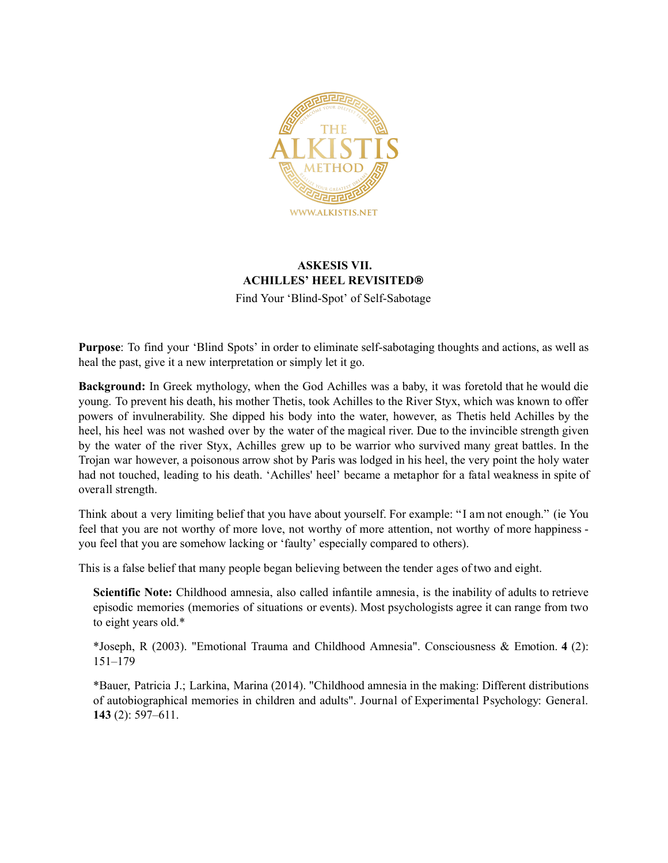

# **ASKESIS VII. ACHILLES' HEEL REVISITED®**

Find Your 'Blind-Spot' of Self-Sabotage

**Purpose**: To find your 'Blind Spots' in order to eliminate self-sabotaging thoughts and actions, as well as heal the past, give it a new interpretation or simply let it go.

**Background:** In Greek mythology, when the God [Achilles](https://en.wikipedia.org/wiki/Achilles) was a baby, it was foretold that he would die young. To prevent his death, his mother Thetis, took Achilles to the River Styx, which was known to offer powers of invulnerability. She dipped his body into the water, however, as Thetis held Achilles by the heel, his heel was not washed over by the water of the magical river. Due to the invincible strength given by the water of the river Styx, Achilles grew up to be warrior who survived many great battles. In the Trojan war however, a poisonous arrow shot by Paris was lodged in his heel, the very point the holy water had not touched, leading to his death. 'Achilles' heel' became a metaphor for a fatal weakness in spite of overall strength.

Think about a very limiting belief that you have about yourself. For example: " I am not enough." (ie You feel that you are not worthy of more love, not worthy of more attention, not worthy of more happiness you feel that you are somehow lacking or 'faulty' especially compared to others).

This is a false belief that many people began believing between the tender ages of two and eight.

**Scientific Note:** Childhood amnesia, also called infantile amnesia, is the inability of adults to retrieve episodic memories (memories of situations or events). Most psychologists agree it can range from two to eight years old.\*

\*Joseph, R (2003). "Emotional Trauma and Childhood Amnesia". Consciousness & Emotion. **4** (2): 151–179

\*Bauer, Patricia J.; Larkina, Marina (2014). "Childhood amnesia in the making: Different distributions of autobiographical memories in children and adults". Journal of Experimental Psychology: General. **143** (2): 597–611.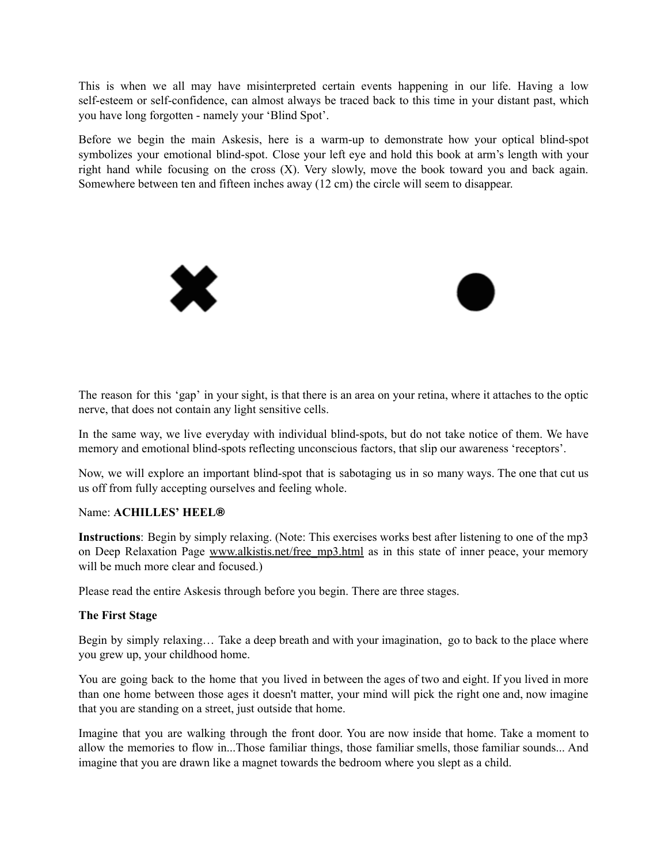This is when we all may have misinterpreted certain events happening in our life. Having a low self-esteem or self-confidence, can almost always be traced back to this time in your distant past, which you have long forgotten - namely your 'Blind Spot'.

Before we begin the main Askesis, here is a warm-up to demonstrate how your optical blind-spot symbolizes your emotional blind-spot. Close your left eye and hold this book at arm's length with your right hand while focusing on the cross (X). Very slowly, move the book toward you and back again. Somewhere between ten and fifteen inches away (12 cm) the circle will seem to disappear.



The reason for this 'gap' in your sight, is that there is an area on your retina, where it attaches to the optic nerve, that does not contain any light sensitive cells.

In the same way, we live everyday with individual blind-spots, but do not take notice of them. We have memory and emotional blind-spots reflecting unconscious factors, that slip our awareness 'receptors'.

Now, we will explore an important blind-spot that is sabotaging us in so many ways. The one that cut us us off from fully accepting ourselves and feeling whole.

## Name: **ACHILLES' HEEL®**

**Instructions**: Begin by simply relaxing. (Note: This exercises works best after listening to one of the mp3 on Deep Relaxation Page www.alkistis.net/free mp3.html as in this state of inner peace, your memory will be much more clear and focused.)

Please read the entire Askesis through before you begin. There are three stages.

## **The First Stage**

Begin by simply relaxing… Take a deep breath and with your imagination, go to back to the place where you grew up, your childhood home.

You are going back to the home that you lived in between the ages of two and eight. If you lived in more than one home between those ages it doesn't matter, your mind will pick the right one and, now imagine that you are standing on a street, just outside that home.

Imagine that you are walking through the front door. You are now inside that home. Take a moment to allow the memories to flow in...Those familiar things, those familiar smells, those familiar sounds... And imagine that you are drawn like a magnet towards the bedroom where you slept as a child.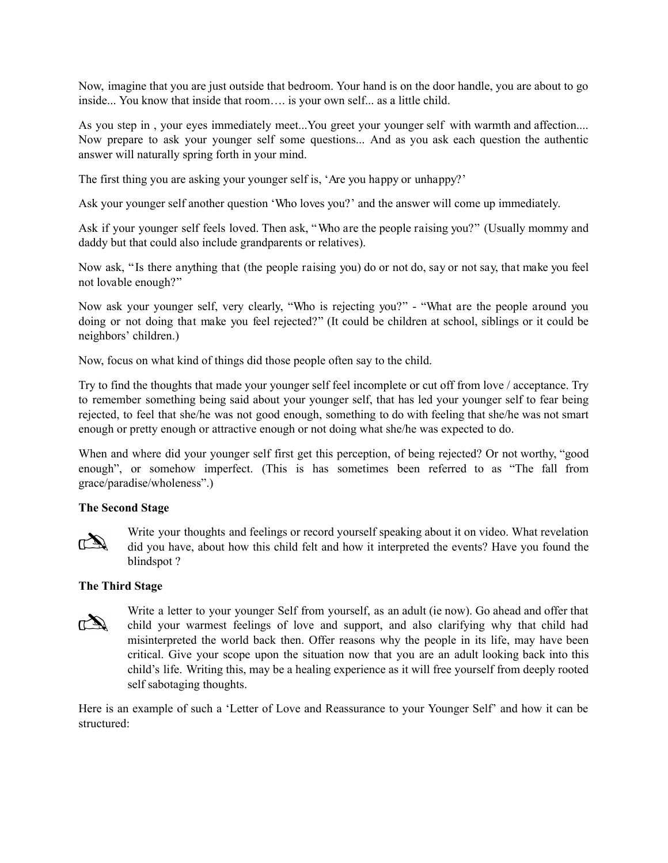Now, imagine that you are just outside that bedroom. Your hand is on the door handle, you are about to go inside... You know that inside that room…. is your own self... as a little child.

As you step in , your eyes immediately meet...You greet your younger self with warmth and affection.... Now prepare to ask your younger self some questions... And as you ask each question the authentic answer will naturally spring forth in your mind.

The first thing you are asking your younger self is, 'Are you happy or unhappy?'

Ask your younger self another question 'Who loves you?' and the answer will come up immediately.

Ask if your younger self feels loved. Then ask, "Who are the people raising you?" (Usually mommy and daddy but that could also include grandparents or relatives).

Now ask, " Is there anything that (the people raising you) do or not do, say or not say, that make you feel not lovable enough?"

Now ask your younger self, very clearly, "Who is rejecting you?" - "What are the people around you doing or not doing that make you feel rejected?" (It could be children at school, siblings or it could be neighbors' children.)

Now, focus on what kind of things did those people often say to the child.

Try to find the thoughts that made your younger self feel incomplete or cut off from love / acceptance. Try to remember something being said about your younger self, that has led your younger self to fear being rejected, to feel that she/he was not good enough, something to do with feeling that she/he was not smart enough or pretty enough or attractive enough or not doing what she/he was expected to do.

When and where did your younger self first get this perception, of being rejected? Or not worthy, "good enough", or somehow imperfect. (This is has sometimes been referred to as "The fall from grace/paradise/wholeness".)

## **The Second Stage**



Write your thoughts and feelings or record yourself speaking about it on video. What revelation did you have, about how this child felt and how it interpreted the events? Have you found the blindspot ?

### **The Third Stage**



Write a letter to your younger Self from yourself, as an adult (ie now). Go ahead and offer that child your warmest feelings of love and support, and also clarifying why that child had misinterpreted the world back then. Offer reasons why the people in its life, may have been critical. Give your scope upon the situation now that you are an adult looking back into this child's life. Writing this, may be a healing experience as it will free yourself from deeply rooted self sabotaging thoughts.

Here is an example of such a 'Letter of Love and Reassurance to your Younger Self' and how it can be structured: